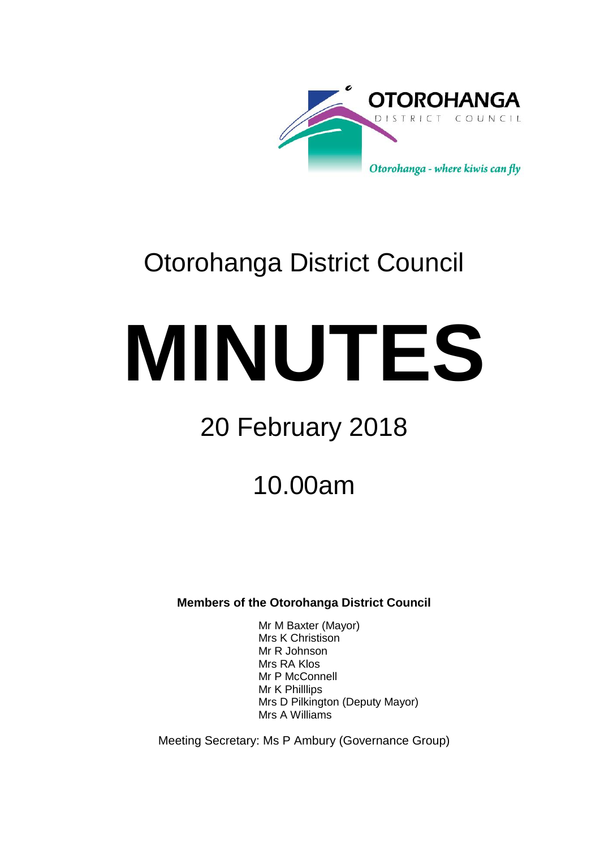

# Otorohanga District Council

# **MINUTES**

# 20 February 2018

## 10.00am

**Members of the Otorohanga District Council**

Mr M Baxter (Mayor) Mrs K Christison Mr R Johnson Mrs RA Klos Mr P McConnell Mr K Philllips Mrs D Pilkington (Deputy Mayor) Mrs A Williams

Meeting Secretary: Ms P Ambury (Governance Group)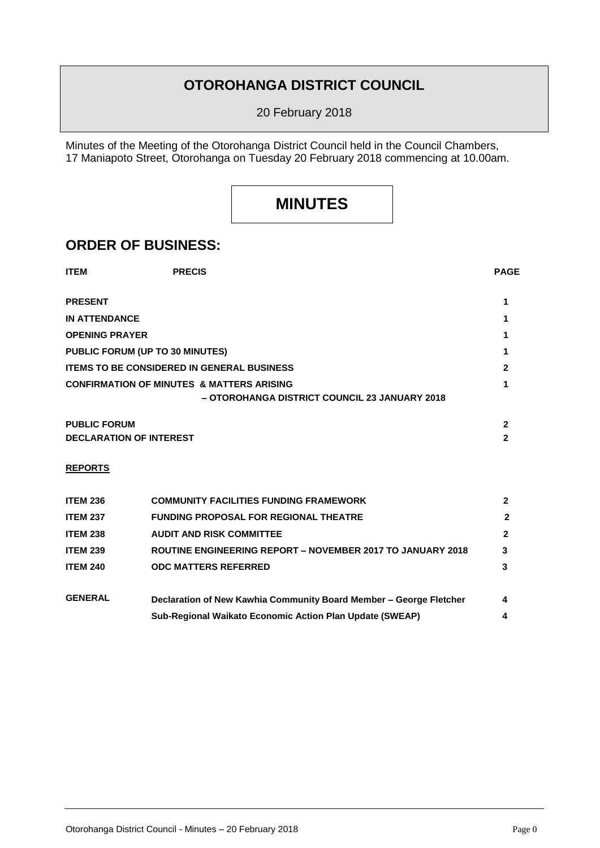## **OTOROHANGA DISTRICT COUNCIL**

20 February 2018

Minutes of the Meeting of the Otorohanga District Council held in the Council Chambers, 17 Maniapoto Street, Otorohanga on Tuesday 20 February 2018 commencing at 10.00am.

## **MINUTES**

### **ORDER OF BUSINESS:**

| <b>ITEM</b>                                       | <b>PRECIS</b>                                        | <b>PAGE</b>                                   |  |
|---------------------------------------------------|------------------------------------------------------|-----------------------------------------------|--|
| <b>PRESENT</b>                                    |                                                      |                                               |  |
| <b>IN ATTENDANCE</b>                              |                                                      |                                               |  |
| <b>OPENING PRAYER</b>                             |                                                      |                                               |  |
| PUBLIC FORUM (UP TO 30 MINUTES)                   |                                                      |                                               |  |
| <b>ITEMS TO BE CONSIDERED IN GENERAL BUSINESS</b> |                                                      |                                               |  |
|                                                   | <b>CONFIRMATION OF MINUTES &amp; MATTERS ARISING</b> | - OTOROHANGA DISTRICT COUNCIL 23 JANUARY 2018 |  |
| <b>PUBLIC FORUM</b>                               |                                                      | 2                                             |  |
| <b>DECLARATION OF INTEREST</b>                    |                                                      |                                               |  |

#### **REPORTS**

| <b>ITEM 236</b> | <b>COMMUNITY FACILITIES FUNDING FRAMEWORK</b>                      |              |
|-----------------|--------------------------------------------------------------------|--------------|
| <b>ITEM 237</b> | <b>FUNDING PROPOSAL FOR REGIONAL THEATRE</b>                       |              |
| <b>ITEM 238</b> | <b>AUDIT AND RISK COMMITTEE</b>                                    | $\mathbf{2}$ |
| <b>ITEM 239</b> | ROUTINE ENGINEERING REPORT - NOVEMBER 2017 TO JANUARY 2018         | 3            |
| <b>ITEM 240</b> | <b>ODC MATTERS REFERRED</b>                                        | 3            |
| <b>GENERAL</b>  | Declaration of New Kawhia Community Board Member - George Fletcher | 4            |
|                 | <b>Sub-Regional Waikato Economic Action Plan Update (SWEAP)</b>    | 4            |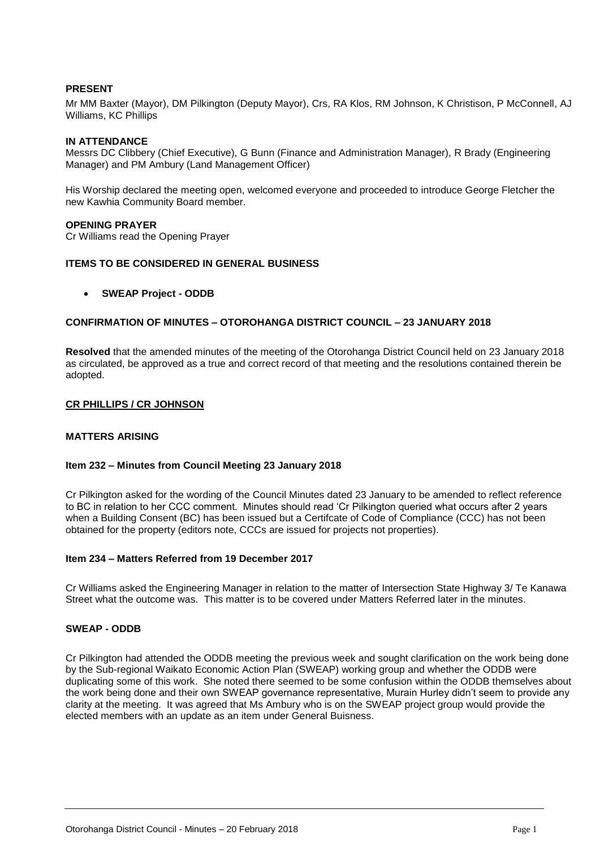#### **PRESENT**

Mr MM Baxter (Mayor), DM Pilkington (Deputy Mayor), Crs, RA Klos, RM Johnson, K Christison, P McConnell, AJ Williams, KC Phillips

#### **IN ATTENDANCE**

Messrs DC Clibbery (Chief Executive), G Bunn (Finance and Administration Manager), R Brady (Engineering Manager) and PM Ambury (Land Management Officer)

His Worship declared the meeting open, welcomed everyone and proceeded to introduce George Fletcher the new Kawhia Community Board member.

#### **OPENING PRAYER**

Cr Williams read the Opening Prayer

#### **ITEMS TO BE CONSIDERED IN GENERAL BUSINESS**

#### **SWEAP Project - ODDB**

#### **CONFIRMATION OF MINUTES – OTOROHANGA DISTRICT COUNCIL – 23 JANUARY 2018**

**Resolved** that the amended minutes of the meeting of the Otorohanga District Council held on 23 January 2018 as circulated, be approved as a true and correct record of that meeting and the resolutions contained therein be adopted.

#### **CR PHILLIPS / CR JOHNSON**

#### **MATTERS ARISING**

#### **Item 232 – Minutes from Council Meeting 23 January 2018**

Cr Pilkington asked for the wording of the Council Minutes dated 23 January to be amended to reflect reference to BC in relation to her CCC comment. Minutes should read 'Cr Pilkington queried what occurs after 2 years when a Building Consent (BC) has been issued but a Certifcate of Code of Compliance (CCC) has not been obtained for the property (editors note, CCCs are issued for projects not properties).

#### **Item 234 – Matters Referred from 19 December 2017**

Cr Williams asked the Engineering Manager in relation to the matter of Intersection State Highway 3/ Te Kanawa Street what the outcome was. This matter is to be covered under Matters Referred later in the minutes.

#### **SWEAP - ODDB**

Cr Pilkington had attended the ODDB meeting the previous week and sought clarification on the work being done by the Sub-regional Waikato Economic Action Plan (SWEAP) working group and whether the ODDB were duplicating some of this work. She noted there seemed to be some confusion within the ODDB themselves about the work being done and their own SWEAP governance representative, Murain Hurley didn't seem to provide any clarity at the meeting. It was agreed that Ms Ambury who is on the SWEAP project group would provide the elected members with an update as an item under General Buisness.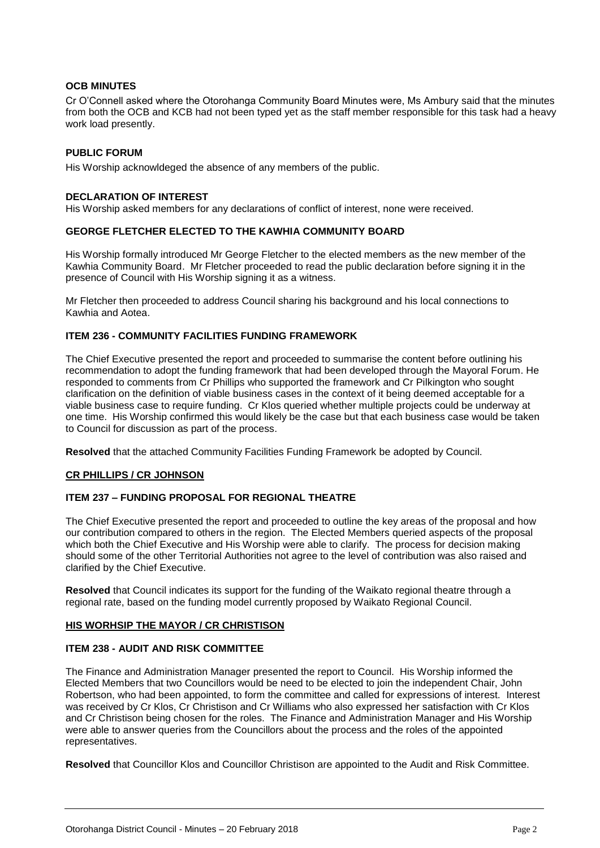#### **OCB MINUTES**

Cr O'Connell asked where the Otorohanga Community Board Minutes were, Ms Ambury said that the minutes from both the OCB and KCB had not been typed yet as the staff member responsible for this task had a heavy work load presently.

#### **PUBLIC FORUM**

His Worship acknowldeged the absence of any members of the public.

#### **DECLARATION OF INTEREST**

His Worship asked members for any declarations of conflict of interest, none were received.

#### **GEORGE FLETCHER ELECTED TO THE KAWHIA COMMUNITY BOARD**

His Worship formally introduced Mr George Fletcher to the elected members as the new member of the Kawhia Community Board. Mr Fletcher proceeded to read the public declaration before signing it in the presence of Council with His Worship signing it as a witness.

Mr Fletcher then proceeded to address Council sharing his background and his local connections to Kawhia and Aotea.

#### **ITEM 236 - COMMUNITY FACILITIES FUNDING FRAMEWORK**

The Chief Executive presented the report and proceeded to summarise the content before outlining his recommendation to adopt the funding framework that had been developed through the Mayoral Forum. He responded to comments from Cr Phillips who supported the framework and Cr Pilkington who sought clarification on the definition of viable business cases in the context of it being deemed acceptable for a viable business case to require funding. Cr Klos queried whether multiple projects could be underway at one time. His Worship confirmed this would likely be the case but that each business case would be taken to Council for discussion as part of the process.

**Resolved** that the attached Community Facilities Funding Framework be adopted by Council.

#### **CR PHILLIPS / CR JOHNSON**

#### **ITEM 237 – FUNDING PROPOSAL FOR REGIONAL THEATRE**

The Chief Executive presented the report and proceeded to outline the key areas of the proposal and how our contribution compared to others in the region. The Elected Members queried aspects of the proposal which both the Chief Executive and His Worship were able to clarify. The process for decision making should some of the other Territorial Authorities not agree to the level of contribution was also raised and clarified by the Chief Executive.

**Resolved** that Council indicates its support for the funding of the Waikato regional theatre through a regional rate, based on the funding model currently proposed by Waikato Regional Council.

#### **HIS WORHSIP THE MAYOR / CR CHRISTISON**

#### **ITEM 238 - AUDIT AND RISK COMMITTEE**

The Finance and Administration Manager presented the report to Council. His Worship informed the Elected Members that two Councillors would be need to be elected to join the independent Chair, John Robertson, who had been appointed, to form the committee and called for expressions of interest. Interest was received by Cr Klos, Cr Christison and Cr Williams who also expressed her satisfaction with Cr Klos and Cr Christison being chosen for the roles. The Finance and Administration Manager and His Worship were able to answer queries from the Councillors about the process and the roles of the appointed representatives.

**Resolved** that Councillor Klos and Councillor Christison are appointed to the Audit and Risk Committee.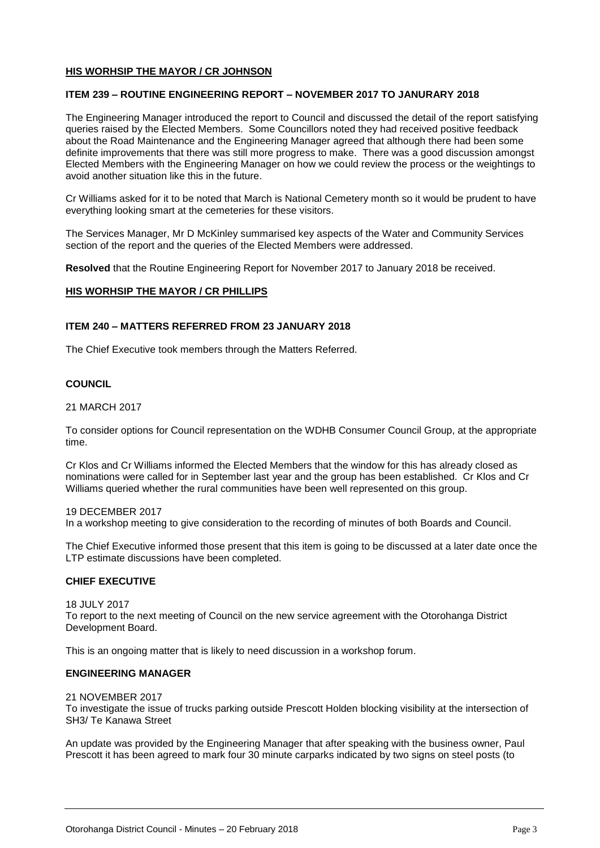#### **HIS WORHSIP THE MAYOR / CR JOHNSON**

#### **ITEM 239 – ROUTINE ENGINEERING REPORT – NOVEMBER 2017 TO JANURARY 2018**

The Engineering Manager introduced the report to Council and discussed the detail of the report satisfying queries raised by the Elected Members. Some Councillors noted they had received positive feedback about the Road Maintenance and the Engineering Manager agreed that although there had been some definite improvements that there was still more progress to make. There was a good discussion amongst Elected Members with the Engineering Manager on how we could review the process or the weightings to avoid another situation like this in the future.

Cr Williams asked for it to be noted that March is National Cemetery month so it would be prudent to have everything looking smart at the cemeteries for these visitors.

The Services Manager, Mr D McKinley summarised key aspects of the Water and Community Services section of the report and the queries of the Elected Members were addressed.

**Resolved** that the Routine Engineering Report for November 2017 to January 2018 be received.

#### **HIS WORHSIP THE MAYOR / CR PHILLIPS**

#### **ITEM 240 – MATTERS REFERRED FROM 23 JANUARY 2018**

The Chief Executive took members through the Matters Referred.

#### **COUNCIL**

#### 21 MARCH 2017

To consider options for Council representation on the WDHB Consumer Council Group, at the appropriate time.

Cr Klos and Cr Williams informed the Elected Members that the window for this has already closed as nominations were called for in September last year and the group has been established. Cr Klos and Cr Williams queried whether the rural communities have been well represented on this group.

#### 19 DECEMBER 2017

In a workshop meeting to give consideration to the recording of minutes of both Boards and Council.

The Chief Executive informed those present that this item is going to be discussed at a later date once the LTP estimate discussions have been completed.

#### **CHIEF EXECUTIVE**

18 JULY 2017

To report to the next meeting of Council on the new service agreement with the Otorohanga District Development Board.

This is an ongoing matter that is likely to need discussion in a workshop forum.

#### **ENGINEERING MANAGER**

#### 21 NOVEMBER 2017

To investigate the issue of trucks parking outside Prescott Holden blocking visibility at the intersection of SH3/ Te Kanawa Street

An update was provided by the Engineering Manager that after speaking with the business owner, Paul Prescott it has been agreed to mark four 30 minute carparks indicated by two signs on steel posts (to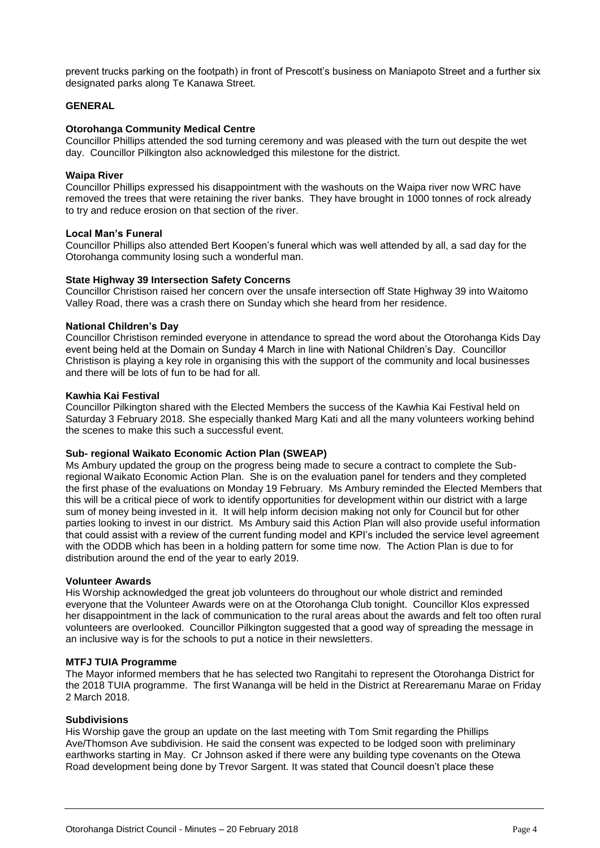prevent trucks parking on the footpath) in front of Prescott's business on Maniapoto Street and a further six designated parks along Te Kanawa Street.

#### **GENERAL**

#### **Otorohanga Community Medical Centre**

Councillor Phillips attended the sod turning ceremony and was pleased with the turn out despite the wet day. Councillor Pilkington also acknowledged this milestone for the district.

#### **Waipa River**

Councillor Phillips expressed his disappointment with the washouts on the Waipa river now WRC have removed the trees that were retaining the river banks. They have brought in 1000 tonnes of rock already to try and reduce erosion on that section of the river.

#### **Local Man's Funeral**

Councillor Phillips also attended Bert Koopen's funeral which was well attended by all, a sad day for the Otorohanga community losing such a wonderful man.

#### **State Highway 39 Intersection Safety Concerns**

Councillor Christison raised her concern over the unsafe intersection off State Highway 39 into Waitomo Valley Road, there was a crash there on Sunday which she heard from her residence.

#### **National Children's Day**

Councillor Christison reminded everyone in attendance to spread the word about the Otorohanga Kids Day event being held at the Domain on Sunday 4 March in line with National Children's Day. Councillor Christison is playing a key role in organising this with the support of the community and local businesses and there will be lots of fun to be had for all.

#### **Kawhia Kai Festival**

Councillor Pilkington shared with the Elected Members the success of the Kawhia Kai Festival held on Saturday 3 February 2018. She especially thanked Marg Kati and all the many volunteers working behind the scenes to make this such a successful event.

#### **Sub- regional Waikato Economic Action Plan (SWEAP)**

Ms Ambury updated the group on the progress being made to secure a contract to complete the Subregional Waikato Economic Action Plan. She is on the evaluation panel for tenders and they completed the first phase of the evaluations on Monday 19 February. Ms Ambury reminded the Elected Members that this will be a critical piece of work to identify opportunities for development within our district with a large sum of money being invested in it. It will help inform decision making not only for Council but for other parties looking to invest in our district. Ms Ambury said this Action Plan will also provide useful information that could assist with a review of the current funding model and KPI's included the service level agreement with the ODDB which has been in a holding pattern for some time now. The Action Plan is due to for distribution around the end of the year to early 2019.

#### **Volunteer Awards**

His Worship acknowledged the great job volunteers do throughout our whole district and reminded everyone that the Volunteer Awards were on at the Otorohanga Club tonight. Councillor Klos expressed her disappointment in the lack of communication to the rural areas about the awards and felt too often rural volunteers are overlooked. Councillor Pilkington suggested that a good way of spreading the message in an inclusive way is for the schools to put a notice in their newsletters.

#### **MTFJ TUIA Programme**

The Mayor informed members that he has selected two Rangitahi to represent the Otorohanga District for the 2018 TUIA programme. The first Wananga will be held in the District at Rerearemanu Marae on Friday 2 March 2018.

#### **Subdivisions**

His Worship gave the group an update on the last meeting with Tom Smit regarding the Phillips Ave/Thomson Ave subdivision. He said the consent was expected to be lodged soon with preliminary earthworks starting in May. Cr Johnson asked if there were any building type covenants on the Otewa Road development being done by Trevor Sargent. It was stated that Council doesn't place these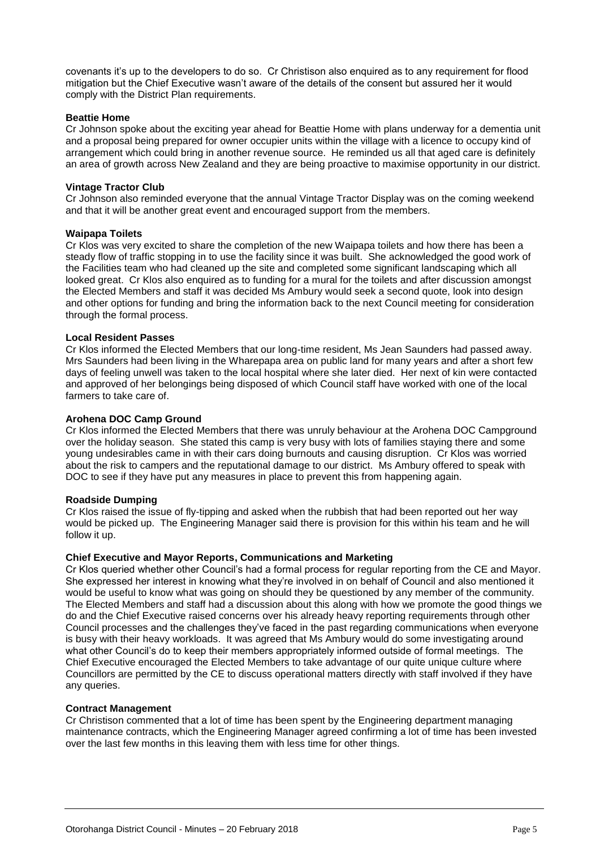covenants it's up to the developers to do so. Cr Christison also enquired as to any requirement for flood mitigation but the Chief Executive wasn't aware of the details of the consent but assured her it would comply with the District Plan requirements.

#### **Beattie Home**

Cr Johnson spoke about the exciting year ahead for Beattie Home with plans underway for a dementia unit and a proposal being prepared for owner occupier units within the village with a licence to occupy kind of arrangement which could bring in another revenue source. He reminded us all that aged care is definitely an area of growth across New Zealand and they are being proactive to maximise opportunity in our district.

#### **Vintage Tractor Club**

Cr Johnson also reminded everyone that the annual Vintage Tractor Display was on the coming weekend and that it will be another great event and encouraged support from the members.

#### **Waipapa Toilets**

Cr Klos was very excited to share the completion of the new Waipapa toilets and how there has been a steady flow of traffic stopping in to use the facility since it was built. She acknowledged the good work of the Facilities team who had cleaned up the site and completed some significant landscaping which all looked great. Cr Klos also enquired as to funding for a mural for the toilets and after discussion amongst the Elected Members and staff it was decided Ms Ambury would seek a second quote, look into design and other options for funding and bring the information back to the next Council meeting for consideration through the formal process.

#### **Local Resident Passes**

Cr Klos informed the Elected Members that our long-time resident, Ms Jean Saunders had passed away. Mrs Saunders had been living in the Wharepapa area on public land for many years and after a short few days of feeling unwell was taken to the local hospital where she later died. Her next of kin were contacted and approved of her belongings being disposed of which Council staff have worked with one of the local farmers to take care of.

#### **Arohena DOC Camp Ground**

Cr Klos informed the Elected Members that there was unruly behaviour at the Arohena DOC Campground over the holiday season. She stated this camp is very busy with lots of families staying there and some young undesirables came in with their cars doing burnouts and causing disruption. Cr Klos was worried about the risk to campers and the reputational damage to our district. Ms Ambury offered to speak with DOC to see if they have put any measures in place to prevent this from happening again.

#### **Roadside Dumping**

Cr Klos raised the issue of fly-tipping and asked when the rubbish that had been reported out her way would be picked up. The Engineering Manager said there is provision for this within his team and he will follow it up.

#### **Chief Executive and Mayor Reports, Communications and Marketing**

Cr Klos queried whether other Council's had a formal process for regular reporting from the CE and Mayor. She expressed her interest in knowing what they're involved in on behalf of Council and also mentioned it would be useful to know what was going on should they be questioned by any member of the community. The Elected Members and staff had a discussion about this along with how we promote the good things we do and the Chief Executive raised concerns over his already heavy reporting requirements through other Council processes and the challenges they've faced in the past regarding communications when everyone is busy with their heavy workloads. It was agreed that Ms Ambury would do some investigating around what other Council's do to keep their members appropriately informed outside of formal meetings. The Chief Executive encouraged the Elected Members to take advantage of our quite unique culture where Councillors are permitted by the CE to discuss operational matters directly with staff involved if they have any queries.

#### **Contract Management**

Cr Christison commented that a lot of time has been spent by the Engineering department managing maintenance contracts, which the Engineering Manager agreed confirming a lot of time has been invested over the last few months in this leaving them with less time for other things.